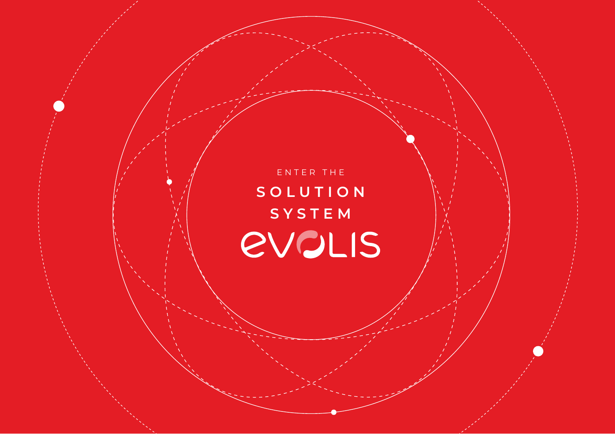E N T E R T H E **S O L U T I O N SYSTEMEVOLIS**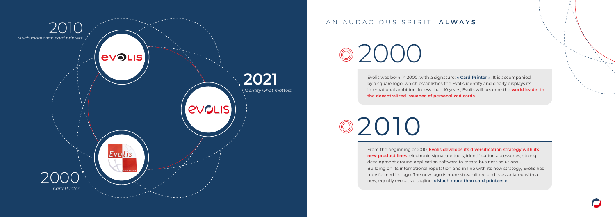2000

2010

## AN AUDACIOUS SPIRIT, **ALWAYS**



Evolis was born in 2000, with a signature: **« Card Printer »**. It is accompanied by a square logo, which establishes the Evolis identity and clearly displays its international ambition. In less than 10 years, Evolis will become the **world leader in the decentralized issuance of personalized cards**.

From the beginning of 2010, **Evolis develops its diversification strategy with its new product lines**: electronic signature tools, identification accessories, strong development around application software to create business solutions... Building on its international reputation and in line with its new strategy, Evolis has transformed its logo. The new logo is more streamlined and is associated with a new, equally evocative tagline: **« Much more than card printers »**.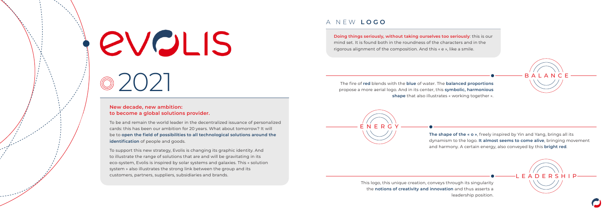# A NEW **LOGO**

This logo, this unique creation, conveys through its singularity the **notions of creativity and innovation** and thus asserts a leadership position.





**The shape of the « o »**, freely inspired by Yin and Yang, brings all its dynamism to the logo. **It almost seems to come alive**, bringing movement and harmony. A certain energy, also conveyed by this **bright red**.





The fire of **red** blends with the **blue** of water. The **balanced proportions** propose a more aerial logo. And in its center, this **symbolic, harmonious shape** that also illustrates « working together ».

**Doing things seriously, without taking ourselves too seriously**: this is our mind set. It is found both in the roundness of the characters and in the rigorous alignment of the composition. And this « e », like a smile.

# **EVOLIS**

### **New decade, new ambition: to become a global solutions provider.**

<sup>2</sup>2021

To be and remain the world leader in the decentralized issuance of personalized cards: this has been our ambition for 20 years. What about tomorrow? It will be to **open the field of possibilities to all technological solutions around the identification** of people and goods.

To support this new strategy, Evolis is changing its graphic identity. And to illustrate the range of solutions that are and will be gravitating in its eco-system, Evolis is inspired by solar systems and galaxies. This « solution system » also illustrates the strong link between the group and its customers, partners, suppliers, subsidiaries and brands.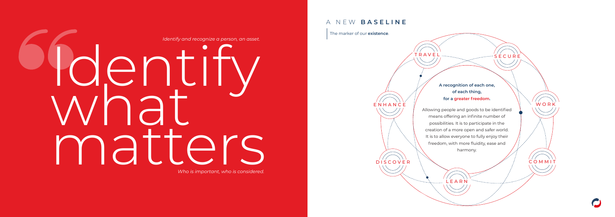LEARN

لمستسلس والمواقعة

COMMIT

WORK

TRAVEL

DISCOVER

ENHANCE

Identify what matters *Identify and recognize a person, an asset.*

*Who is important, who is considered.*

## **A recognition of each one, of each thing, for a greater freedom.**

**SECURE** 



Allowing people and goods to be identified means offering an infinite number of possibilities. It is to participate in the creation of a more open and safer world. It is to allow everyone to fully enjoy their freedom, with more fluidity, ease and harmony.

# A NEW **BASELINE**

The marker of our **existence**.